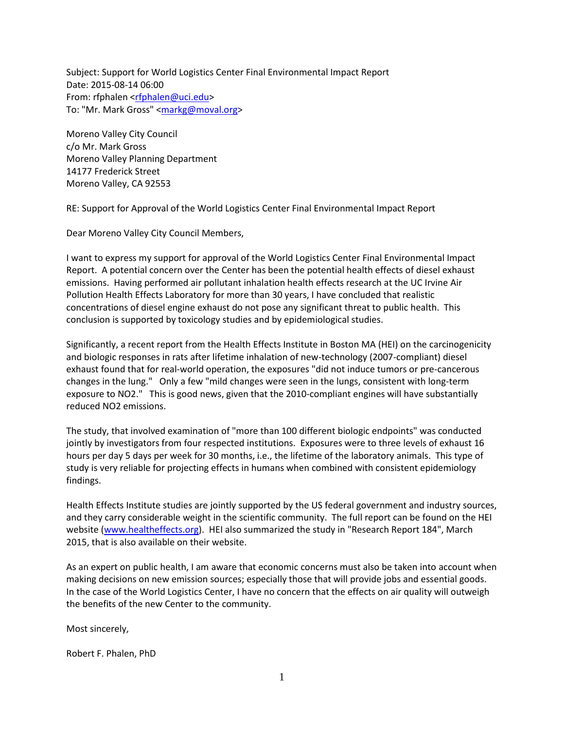Subject: Support for World Logistics Center Final Environmental Impact Report Date: 2015-08-14 06:00 From: rfphalen [<rfphalen@uci.edu>](mailto:rfphalen@uci.edu) To: "Mr. Mark Gross" [<markg@moval.org>](mailto:markg@moval.org)

Moreno Valley City Council c/o Mr. Mark Gross Moreno Valley Planning Department 14177 Frederick Street Moreno Valley, CA 92553

RE: Support for Approval of the World Logistics Center Final Environmental Impact Report

Dear Moreno Valley City Council Members,

I want to express my support for approval of the World Logistics Center Final Environmental Impact Report. A potential concern over the Center has been the potential health effects of diesel exhaust emissions. Having performed air pollutant inhalation health effects research at the UC Irvine Air Pollution Health Effects Laboratory for more than 30 years, I have concluded that realistic concentrations of diesel engine exhaust do not pose any significant threat to public health. This conclusion is supported by toxicology studies and by epidemiological studies.

Significantly, a recent report from the Health Effects Institute in Boston MA (HEI) on the carcinogenicity and biologic responses in rats after lifetime inhalation of new-technology (2007-compliant) diesel exhaust found that for real-world operation, the exposures "did not induce tumors or pre-cancerous changes in the lung." Only a few "mild changes were seen in the lungs, consistent with long-term exposure to NO2." This is good news, given that the 2010-compliant engines will have substantially reduced NO2 emissions.

The study, that involved examination of "more than 100 different biologic endpoints" was conducted jointly by investigators from four respected institutions. Exposures were to three levels of exhaust 16 hours per day 5 days per week for 30 months, i.e., the lifetime of the laboratory animals. This type of study is very reliable for projecting effects in humans when combined with consistent epidemiology findings.

Health Effects Institute studies are jointly supported by the US federal government and industry sources, and they carry considerable weight in the scientific community. The full report can be found on the HEI website [\(www.healtheffects.org\)](http://www.healtheffects.org/). HEI also summarized the study in "Research Report 184", March 2015, that is also available on their website.

As an expert on public health, I am aware that economic concerns must also be taken into account when making decisions on new emission sources; especially those that will provide jobs and essential goods. In the case of the World Logistics Center, I have no concern that the effects on air quality will outweigh the benefits of the new Center to the community.

Most sincerely,

Robert F. Phalen, PhD